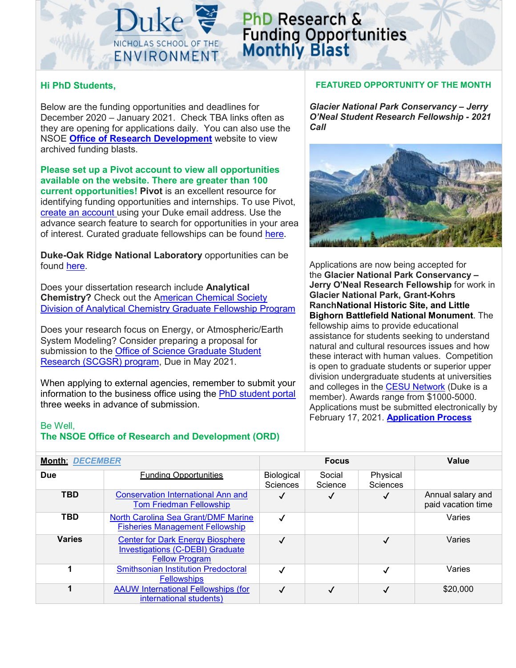

# **PhD Research & Funding Opportunities**<br>Monthly Blast

### **Hi PhD Students,**

Below are the funding opportunities and deadlines for December 2020 – January 2021. Check TBA links often as they are opening for applications daily. You can also use the NSOE **[Office of Research Development](https://sites.nicholas.duke.edu/nsoeresearchdev/)** website to view archived funding blasts.

**Please set up a Pivot account to view all opportunities available on the website. There are greater than 100 current opportunities! Pivot** is an excellent resource for identifying funding opportunities and internships. To use Pivot,

[create an account u](https://pivot.proquest.com/session/login)sing your Duke email address. Use the advance search feature to search for opportunities in your area of interest. Curated graduate fellowships can be found [here.](https://pivot.proquest.com/curated_opps/3497)

**Duke-Oak Ridge National Laboratory** opportunities can be found [here.](https://sites.duke.edu/ornlcollaboration/funding-research-opportunities/)

Does your dissertation research include **Analytical Chemistry?** Check out the [American Chemical Society](https://acsanalytical.org/graduate-student-fellowships/)  [Division of Analytical Chemistry Graduate Fellowship Program](https://acsanalytical.org/graduate-student-fellowships/)

Does your research focus on Energy, or Atmospheric/Earth System Modeling? Consider preparing a proposal for submission to the Office of Science Graduate Student [Research \(SCGSR\) program,](https://science.osti.gov/wdts/scgsr/How-to-Apply/Priority-SC-Research-Areas) Due in May 2021.

When applying to external agencies, remember to submit your information to the business office using the [PhD student portal](https://sites.nicholas.duke.edu/nsoeresearchdev/phd-student-grant-submission-process/) three weeks in advance of submission.

#### Be Well,

## **The NSOE Office of Research and Development (ORD)**

#### **FEATURED OPPORTUNITY OF THE MONTH**

*Glacier National Park Conservancy – Jerry O'Neal Student Research Fellowship - 2021 Call*



Applications are now being accepted for the **Glacier National Park Conservancy – Jerry O'Neal Research Fellowship** for work in **Glacier National Park, Grant-Kohrs RanchNational Historic Site, and Little Bighorn Battlefield National Monument**. The fellowship aims to provide educational assistance for students seeking to understand natural and cultural resources issues and how these interact with human values. Competition is open to graduate students or superior upper division undergraduate students at universities and colleges in the [CESU Network](https://urldefense.com/v3/__http:/www.cesu.psu.edu/__;!!OToaGQ!5G_VfGkBzVHpu7NRGcdac4HS-YC2nbwY6HCTSVi3JmlHgjR5NXMXBoEzyPjgbLWV6F0$) (Duke is a member). Awards range from \$1000-5000. Applications must be submitted electronically by February 17, 2021. **[Application Process](https://urldefense.com/v3/__https:/www.cfc.umt.edu/cesu/files/Announcements/gnpc_oneal_announcement_21.pdf__;!!OToaGQ!5G_VfGkBzVHpu7NRGcdac4HS-YC2nbwY6HCTSVi3JmlHgjR5NXMXBoEzyPjgXYb4-uA$)**

| <b>Month: DECEMBER</b> |                                                                                                             |                        | <b>Focus</b>      | <b>Value</b>                |                                         |
|------------------------|-------------------------------------------------------------------------------------------------------------|------------------------|-------------------|-----------------------------|-----------------------------------------|
| <b>Due</b>             | <b>Funding Opportunities</b>                                                                                | Biological<br>Sciences | Social<br>Science | Physical<br><b>Sciences</b> |                                         |
| <b>TBD</b>             | <b>Conservation International Ann and</b><br><b>Tom Friedman Fellowship</b>                                 | $\checkmark$           |                   | ✓                           | Annual salary and<br>paid vacation time |
| TBD                    | North Carolina Sea Grant/DMF Marine<br><b>Fisheries Management Fellowship</b>                               |                        |                   |                             | Varies                                  |
| <b>Varies</b>          | <b>Center for Dark Energy Biosphere</b><br><b>Investigations (C-DEBI) Graduate</b><br><b>Fellow Program</b> |                        |                   | ✓                           | Varies                                  |
|                        | <b>Smithsonian Institution Predoctoral</b><br><b>Fellowships</b>                                            |                        |                   |                             | Varies                                  |
|                        | <b>AAUW International Fellowships (for</b><br>international students)                                       |                        |                   |                             | \$20,000                                |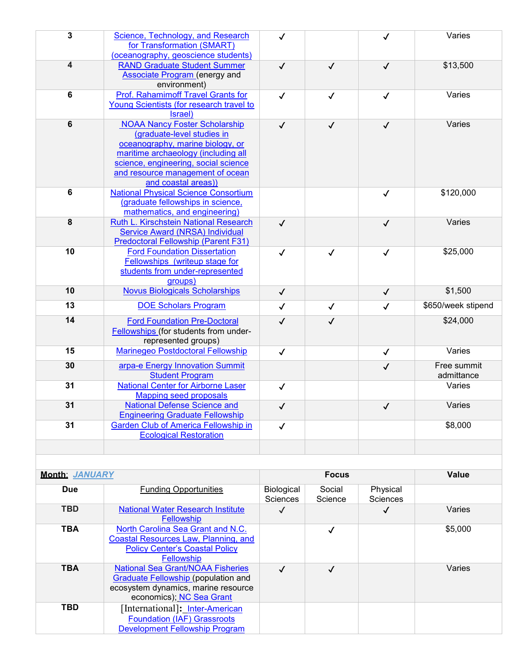| $\mathbf{3}$ | Science, Technology, and Research<br>for Transformation (SMART)<br>(oceanography, geoscience students)                                                                                                                                           | $\checkmark$ |              | ✓            | Varies                    |
|--------------|--------------------------------------------------------------------------------------------------------------------------------------------------------------------------------------------------------------------------------------------------|--------------|--------------|--------------|---------------------------|
| 4            | <b>RAND Graduate Student Summer</b><br><b>Associate Program (energy and</b><br>environment)                                                                                                                                                      | $\checkmark$ | $\checkmark$ | $\checkmark$ | \$13,500                  |
| 6            | <b>Prof. Rahamimoff Travel Grants for</b><br>Young Scientists (for research travel to<br>Israel)                                                                                                                                                 | $\checkmark$ | $\checkmark$ | $\checkmark$ | Varies                    |
| 6            | <b>NOAA Nancy Foster Scholarship</b><br>(graduate-level studies in<br>oceanography, marine biology, or<br>maritime archaeology (including all<br>science, engineering, social science<br>and resource management of ocean<br>and coastal areas)) | $\checkmark$ | $\checkmark$ | $\checkmark$ | Varies                    |
| 6            | <b>National Physical Science Consortium</b><br>(graduate fellowships in science,<br>mathematics, and engineering)                                                                                                                                |              |              | $\checkmark$ | \$120,000                 |
| 8            | Ruth L. Kirschstein National Research<br>Service Award (NRSA) Individual<br><b>Predoctoral Fellowship (Parent F31)</b>                                                                                                                           | $\checkmark$ |              | $\checkmark$ | Varies                    |
| 10           | <b>Ford Foundation Dissertation</b><br>Fellowships (writeup stage for<br>students from under-represented<br>groups)                                                                                                                              | $\checkmark$ | $\checkmark$ | $\checkmark$ | \$25,000                  |
| 10           | <b>Novus Biologicals Scholarships</b>                                                                                                                                                                                                            | $\checkmark$ |              | $\checkmark$ | \$1,500                   |
| 13           | <b>DOE Scholars Program</b>                                                                                                                                                                                                                      | $\checkmark$ | $\checkmark$ | $\checkmark$ | \$650/week stipend        |
| 14           | <b>Ford Foundation Pre-Doctoral</b><br>Fellowships (for students from under-<br>represented groups)                                                                                                                                              | $\checkmark$ | $\checkmark$ |              | \$24,000                  |
| 15           | Marinegeo Postdoctoral Fellowship                                                                                                                                                                                                                | $\checkmark$ |              | $\checkmark$ | Varies                    |
| 30           | arpa-e Energy Innovation Summit<br><b>Student Program</b>                                                                                                                                                                                        |              |              | $\checkmark$ | Free summit<br>admittance |
| 31           | <b>National Center for Airborne Laser</b><br><b>Mapping seed proposals</b>                                                                                                                                                                       | $\checkmark$ |              |              | Varies                    |
| 31           | <b>National Defense Science and</b><br><b>Engineering Graduate Fellowship</b>                                                                                                                                                                    | $\checkmark$ |              | $\checkmark$ | Varies                    |
| 31           | <b>Garden Club of America Fellowship in</b><br><b>Ecological Restoration</b>                                                                                                                                                                     | $\checkmark$ |              |              | \$8,000                   |

| <b>Month: JANUARY</b> |                                                                                                                                                    |                        | <b>Focus</b>      | <b>Value</b>                |         |
|-----------------------|----------------------------------------------------------------------------------------------------------------------------------------------------|------------------------|-------------------|-----------------------------|---------|
| <b>Due</b>            | <b>Funding Opportunities</b>                                                                                                                       | Biological<br>Sciences | Social<br>Science | Physical<br><b>Sciences</b> |         |
| <b>TBD</b>            | <b>National Water Research Institute</b><br>Fellowship                                                                                             |                        |                   | ✓                           | Varies  |
| <b>TBA</b>            | North Carolina Sea Grant and N.C.<br><b>Coastal Resources Law, Planning, and</b><br><b>Policy Center's Coastal Policy</b><br><b>Fellowship</b>     |                        | √                 |                             | \$5,000 |
| <b>TBA</b>            | <b>National Sea Grant/NOAA Fisheries</b><br>Graduate Fellowship (population and<br>ecosystem dynamics, marine resource<br>economics); NC Sea Grant |                        | $\checkmark$      |                             | Varies  |
| <b>TBD</b>            | [International]: Inter-American<br><b>Foundation (IAF) Grassroots</b><br><b>Development Fellowship Program</b>                                     |                        |                   |                             |         |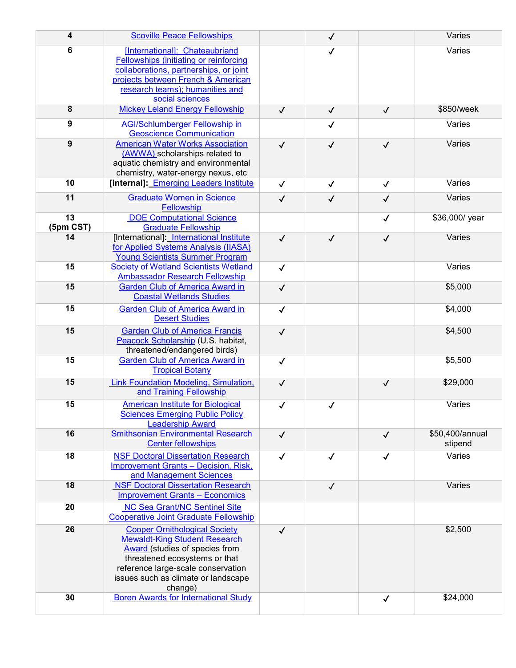| 4               | <b>Scoville Peace Fellowships</b>                                                                                                                                                                                                              |              | $\checkmark$ |              | Varies                     |
|-----------------|------------------------------------------------------------------------------------------------------------------------------------------------------------------------------------------------------------------------------------------------|--------------|--------------|--------------|----------------------------|
| 6               | [International]: Chateaubriand<br><b>Fellowships (initiating or reinforcing</b><br>collaborations, partnerships, or joint<br>projects between French & American<br>research teams); humanities and<br>social sciences                          |              | ✓            |              | Varies                     |
| $\pmb{8}$       | <b>Mickey Leland Energy Fellowship</b>                                                                                                                                                                                                         | $\checkmark$ | $\checkmark$ | $\checkmark$ | \$850/week                 |
| 9               | <b>AGI/Schlumberger Fellowship in</b><br><b>Geoscience Communication</b>                                                                                                                                                                       |              | $\checkmark$ |              | Varies                     |
| 9               | <b>American Water Works Association</b><br>(AWWA) scholarships related to<br>aquatic chemistry and environmental<br>chemistry, water-energy nexus, etc                                                                                         | $\checkmark$ | $\checkmark$ | $\checkmark$ | Varies                     |
| 10              | [internal]: Emerging Leaders Institute                                                                                                                                                                                                         | $\checkmark$ | $\checkmark$ | $\checkmark$ | Varies                     |
| 11              | <b>Graduate Women in Science</b><br>Fellowship                                                                                                                                                                                                 | $\checkmark$ | $\checkmark$ | $\checkmark$ | Varies                     |
| 13<br>(5pm CST) | <b>DOE Computational Science</b><br><b>Graduate Fellowship</b>                                                                                                                                                                                 |              |              | $\checkmark$ | \$36,000/ year             |
| 14              | [International]: International Institute<br>for Applied Systems Analysis (IIASA)<br><b>Young Scientists Summer Program</b>                                                                                                                     | $\checkmark$ | $\checkmark$ | $\checkmark$ | Varies                     |
| 15              | <b>Society of Wetland Scientists Wetland</b><br><b>Ambassador Research Fellowship</b>                                                                                                                                                          | $\checkmark$ |              |              | Varies                     |
| 15              | <b>Garden Club of America Award in</b><br><b>Coastal Wetlands Studies</b>                                                                                                                                                                      | $\checkmark$ |              |              | \$5,000                    |
| 15              | <b>Garden Club of America Award in</b><br><b>Desert Studies</b>                                                                                                                                                                                | $\checkmark$ |              |              | \$4,000                    |
| 15              | <b>Garden Club of America Francis</b><br>Peacock Scholarship (U.S. habitat,<br>threatened/endangered birds)                                                                                                                                    | $\checkmark$ |              |              | \$4,500                    |
| 15              | <b>Garden Club of America Award in</b><br><b>Tropical Botany</b>                                                                                                                                                                               | $\checkmark$ |              |              | \$5,500                    |
| 15              | Link Foundation Modeling, Simulation,<br>and Training Fellowship                                                                                                                                                                               | $\checkmark$ |              | $\checkmark$ | \$29,000                   |
| 15              | <b>American Institute for Biological</b><br><b>Sciences Emerging Public Policy</b><br><b>Leadership Award</b>                                                                                                                                  | $\checkmark$ | ✓            |              | Varies                     |
| 16              | <b>Smithsonian Environmental Research</b><br><b>Center fellowships</b>                                                                                                                                                                         | $\checkmark$ |              | $\checkmark$ | \$50,400/annual<br>stipend |
| 18              | <b>NSF Doctoral Dissertation Research</b><br><b>Improvement Grants - Decision, Risk,</b><br>and Management Sciences                                                                                                                            | $\checkmark$ | ✓            | ✓            | Varies                     |
| 18              | <b>NSF Doctoral Dissertation Research</b><br><b>Improvement Grants - Economics</b>                                                                                                                                                             |              | $\checkmark$ |              | Varies                     |
| 20              | <b>NC Sea Grant/NC Sentinel Site</b><br><b>Cooperative Joint Graduate Fellowship</b>                                                                                                                                                           |              |              |              |                            |
| 26              | <b>Cooper Ornithological Society</b><br><b>Mewaldt-King Student Research</b><br><b>Award</b> (studies of species from<br>threatened ecosystems or that<br>reference large-scale conservation<br>issues such as climate or landscape<br>change) | $\checkmark$ |              |              | \$2,500                    |
| 30              | <b>Boren Awards for International Study</b>                                                                                                                                                                                                    |              |              | $\checkmark$ | \$24,000                   |